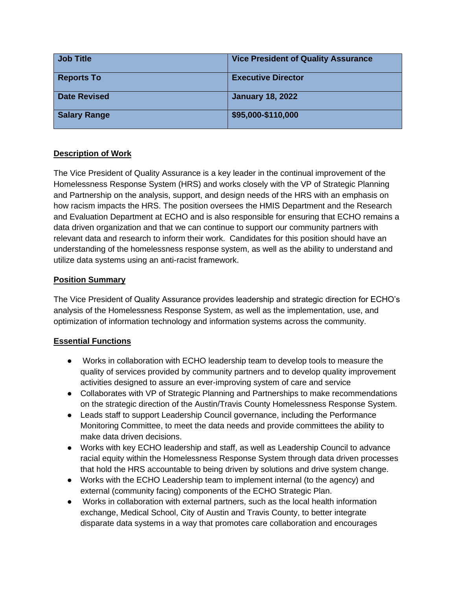| <b>Job Title</b>    | <b>Vice President of Quality Assurance</b> |
|---------------------|--------------------------------------------|
| <b>Reports To</b>   | <b>Executive Director</b>                  |
| <b>Date Revised</b> | <b>January 18, 2022</b>                    |
| <b>Salary Range</b> | \$95,000-\$110,000                         |

## **Description of Work**

The Vice President of Quality Assurance is a key leader in the continual improvement of the Homelessness Response System (HRS) and works closely with the VP of Strategic Planning and Partnership on the analysis, support, and design needs of the HRS with an emphasis on how racism impacts the HRS. The position oversees the HMIS Department and the Research and Evaluation Department at ECHO and is also responsible for ensuring that ECHO remains a data driven organization and that we can continue to support our community partners with relevant data and research to inform their work. Candidates for this position should have an understanding of the homelessness response system, as well as the ability to understand and utilize data systems using an anti-racist framework.

## **Position Summary**

The Vice President of Quality Assurance provides leadership and strategic direction for ECHO's analysis of the Homelessness Response System, as well as the implementation, use, and optimization of information technology and information systems across the community.

## **Essential Functions**

- Works in collaboration with ECHO leadership team to develop tools to measure the quality of services provided by community partners and to develop quality improvement activities designed to assure an ever-improving system of care and service
- Collaborates with VP of Strategic Planning and Partnerships to make recommendations on the strategic direction of the Austin/Travis County Homelessness Response System.
- Leads staff to support Leadership Council governance, including the Performance Monitoring Committee, to meet the data needs and provide committees the ability to make data driven decisions.
- Works with key ECHO leadership and staff, as well as Leadership Council to advance racial equity within the Homelessness Response System through data driven processes that hold the HRS accountable to being driven by solutions and drive system change.
- Works with the ECHO Leadership team to implement internal (to the agency) and external (community facing) components of the ECHO Strategic Plan.
- Works in collaboration with external partners, such as the local health information exchange, Medical School, City of Austin and Travis County, to better integrate disparate data systems in a way that promotes care collaboration and encourages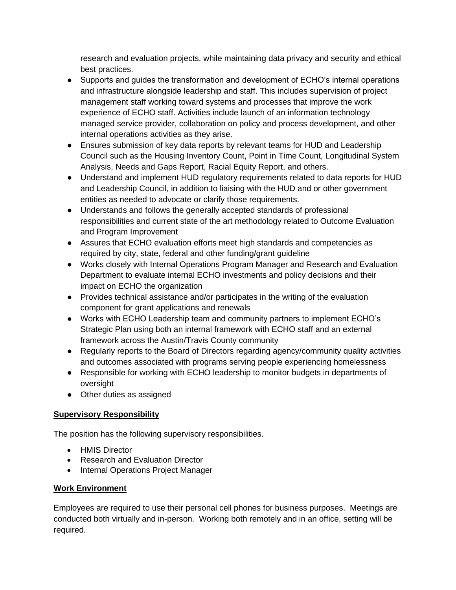research and evaluation projects, while maintaining data privacy and security and ethical best practices.

- Supports and guides the transformation and development of ECHO's internal operations and infrastructure alongside leadership and staff. This includes supervision of project management staff working toward systems and processes that improve the work experience of ECHO staff. Activities include launch of an information technology managed service provider, collaboration on policy and process development, and other internal operations activities as they arise.
- Ensures submission of key data reports by relevant teams for HUD and Leadership Council such as the Housing Inventory Count, Point in Time Count, Longitudinal System Analysis, Needs and Gaps Report, Racial Equity Report, and others.
- Understand and implement HUD regulatory requirements related to data reports for HUD and Leadership Council, in addition to liaising with the HUD and or other government entities as needed to advocate or clarify those requirements.
- Understands and follows the generally accepted standards of professional responsibilities and current state of the art methodology related to Outcome Evaluation and Program Improvement
- Assures that ECHO evaluation efforts meet high standards and competencies as required by city, state, federal and other funding/grant guideline
- Works closely with Internal Operations Program Manager and Research and Evaluation Department to evaluate internal ECHO investments and policy decisions and their impact on ECHO the organization
- Provides technical assistance and/or participates in the writing of the evaluation component for grant applications and renewals
- Works with ECHO Leadership team and community partners to implement ECHO's Strategic Plan using both an internal framework with ECHO staff and an external framework across the Austin/Travis County community
- Regularly reports to the Board of Directors regarding agency/community quality activities and outcomes associated with programs serving people experiencing homelessness
- Responsible for working with ECHO leadership to monitor budgets in departments of oversight
- Other duties as assigned

# **Supervisory Responsibility**

The position has the following supervisory responsibilities.

- HMIS Director
- Research and Evaluation Director
- Internal Operations Project Manager

## **Work Environment**

Employees are required to use their personal cell phones for business purposes. Meetings are conducted both virtually and in-person. Working both remotely and in an office, setting will be required.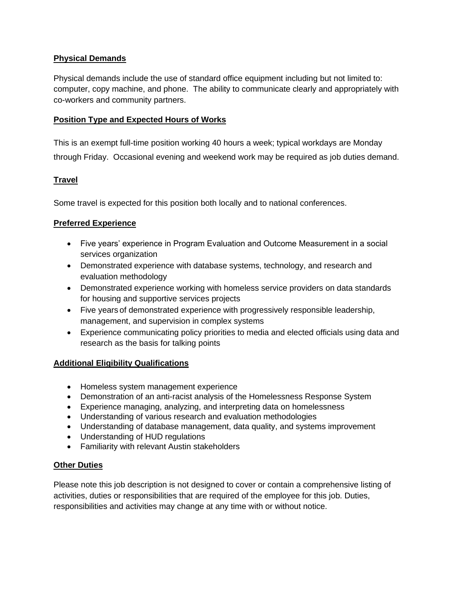#### **Physical Demands**

Physical demands include the use of standard office equipment including but not limited to: computer, copy machine, and phone. The ability to communicate clearly and appropriately with co-workers and community partners.

#### **Position Type and Expected Hours of Works**

This is an exempt full-time position working 40 hours a week; typical workdays are Monday through Friday. Occasional evening and weekend work may be required as job duties demand.

## **Travel**

Some travel is expected for this position both locally and to national conferences.

#### **Preferred Experience**

- Five years' experience in Program Evaluation and Outcome Measurement in a social services organization
- Demonstrated experience with database systems, technology, and research and evaluation methodology
- Demonstrated experience working with homeless service providers on data standards for housing and supportive services projects
- Five years of demonstrated experience with progressively responsible leadership, management, and supervision in complex systems
- Experience communicating policy priorities to media and elected officials using data and research as the basis for talking points

#### **Additional Eligibility Qualifications**

- Homeless system management experience
- Demonstration of an anti-racist analysis of the Homelessness Response System
- Experience managing, analyzing, and interpreting data on homelessness
- Understanding of various research and evaluation methodologies
- Understanding of database management, data quality, and systems improvement
- Understanding of HUD regulations
- Familiarity with relevant Austin stakeholders

#### **Other Duties**

Please note this job description is not designed to cover or contain a comprehensive listing of activities, duties or responsibilities that are required of the employee for this job. Duties, responsibilities and activities may change at any time with or without notice.